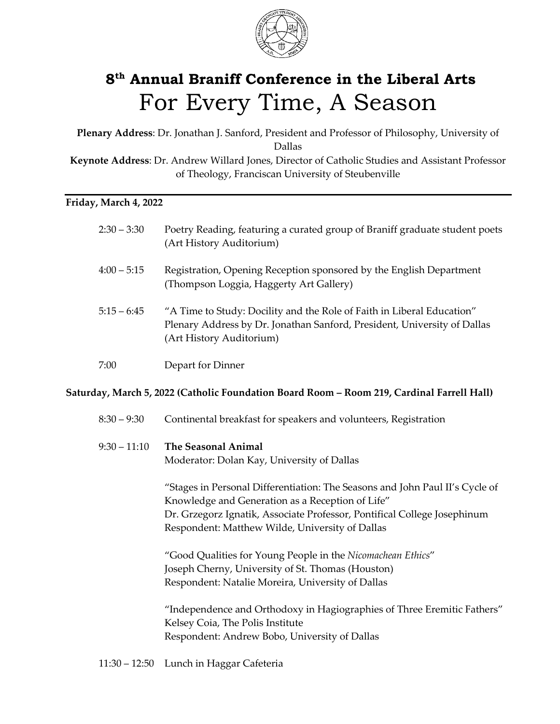

## **8th Annual Braniff Conference in the Liberal Arts** For Every Time, A Season

**Plenary Address**: Dr. Jonathan J. Sanford, President and Professor of Philosophy, University of Dallas

**Keynote Address**: Dr. Andrew Willard Jones, Director of Catholic Studies and Assistant Professor of Theology, Franciscan University of Steubenville

## **Friday, March 4, 2022**

|                                                                                            | $2:30 - 3:30$  | Poetry Reading, featuring a curated group of Braniff graduate student poets<br>(Art History Auditorium)                                                                                                                                                         |  |
|--------------------------------------------------------------------------------------------|----------------|-----------------------------------------------------------------------------------------------------------------------------------------------------------------------------------------------------------------------------------------------------------------|--|
|                                                                                            | $4:00 - 5:15$  | Registration, Opening Reception sponsored by the English Department<br>(Thompson Loggia, Haggerty Art Gallery)                                                                                                                                                  |  |
|                                                                                            | $5:15 - 6:45$  | "A Time to Study: Docility and the Role of Faith in Liberal Education"<br>Plenary Address by Dr. Jonathan Sanford, President, University of Dallas<br>(Art History Auditorium)                                                                                  |  |
|                                                                                            | 7:00           | Depart for Dinner                                                                                                                                                                                                                                               |  |
| Saturday, March 5, 2022 (Catholic Foundation Board Room – Room 219, Cardinal Farrell Hall) |                |                                                                                                                                                                                                                                                                 |  |
|                                                                                            | $8:30 - 9:30$  | Continental breakfast for speakers and volunteers, Registration                                                                                                                                                                                                 |  |
|                                                                                            | $9:30 - 11:10$ | <b>The Seasonal Animal</b><br>Moderator: Dolan Kay, University of Dallas                                                                                                                                                                                        |  |
|                                                                                            |                | "Stages in Personal Differentiation: The Seasons and John Paul II's Cycle of<br>Knowledge and Generation as a Reception of Life"<br>Dr. Grzegorz Ignatik, Associate Professor, Pontifical College Josephinum<br>Respondent: Matthew Wilde, University of Dallas |  |
|                                                                                            |                | "Good Qualities for Young People in the Nicomachean Ethics"<br>Joseph Cherny, University of St. Thomas (Houston)<br>Respondent: Natalie Moreira, University of Dallas                                                                                           |  |
|                                                                                            |                | "Independence and Orthodoxy in Hagiographies of Three Eremitic Fathers"<br>Kelsey Coia, The Polis Institute<br>Respondent: Andrew Bobo, University of Dallas                                                                                                    |  |
|                                                                                            |                |                                                                                                                                                                                                                                                                 |  |